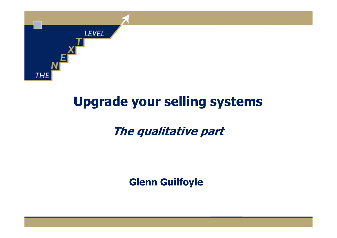

# Upgrade your selling systems

## The qualitative part

Glenn Guilfoyle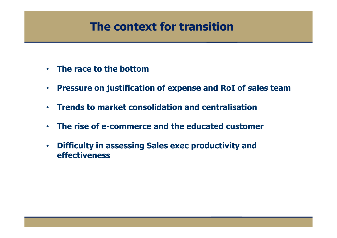### The context for transition

- •The race to the bottom
- $\bullet$ Pressure on justification of expense and RoI of sales team
- •Trends to market consolidation and centralisation
- •The rise of e-commerce and the educated customer
- • Difficulty in assessing Sales exec productivity andeffectiveness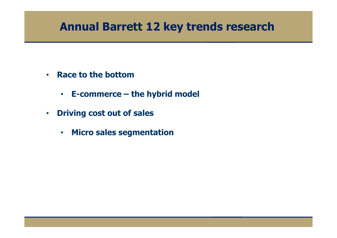#### Annual Barrett 12 key trends research

- Race to the bottom
	- E-commerce the hybrid model
- Driving cost out of sales
	- Micro sales segmentation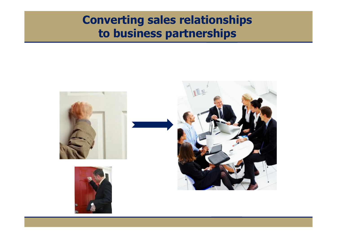## Converting sales relationships to business partnerships

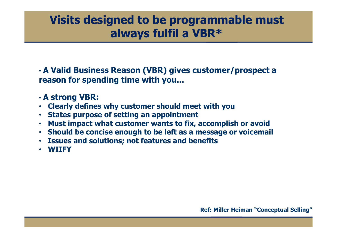#### Visits designed to be programmable must always fulfil a VBR\*

• A Valid Business Reason (VBR) gives customer/prospect a reason for spending time with you...

#### • A strong VBR:

- Clearly defines why customer should meet with you
- •States purpose of setting an appointment
- Must impact what customer wants to fix, accomplish or avoid
- Should be concise enough to be left as a message or voicemail
- Issues and solutions; not features and benefits
- WIIFY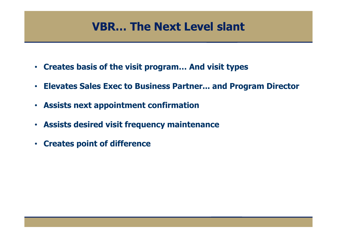#### VBR… The Next Level slant

- Creates basis of the visit program… And visit types
- Elevates Sales Exec to Business Partner... and Program Director
- Assists next appointment confirmation
- Assists desired visit frequency maintenance
- Creates point of difference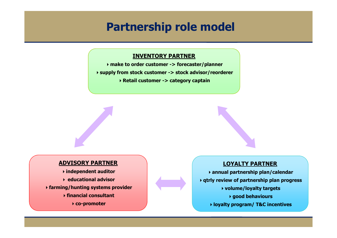#### Partnership role model

#### INVENTORY PARTNER

 make to order customer -> forecaster/planner supply from stock customer -> stock advisor/reordererRetail customer -> category captain

#### ADVISORY PARTNER

 independent auditor educational advisor farming/hunting systems provider $\rightarrow$  financial consultant

co-promoter

#### LOYALTY PARTNER

 annual partnership plan/calendar qtrly review of partnership plan progress volume/loyalty targetsgood behavioursloyalty program/ T&C incentives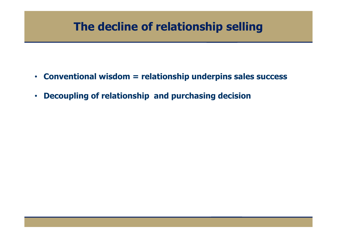### The decline of relationship selling

- Conventional wisdom = relationship underpins sales success
- Decoupling of relationship and purchasing decision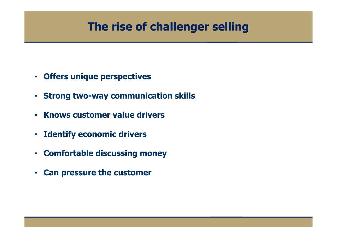### The rise of challenger selling

- Offers unique perspectives
- •Strong two-way communication skills
- Knows customer value drivers
- Identify economic drivers
- Comfortable discussing money
- Can pressure the customer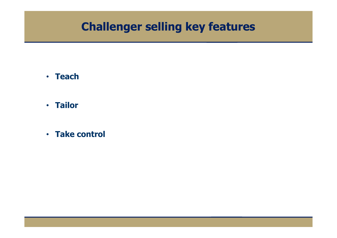#### Challenger selling key features

- Teach
- Tailor
- Take control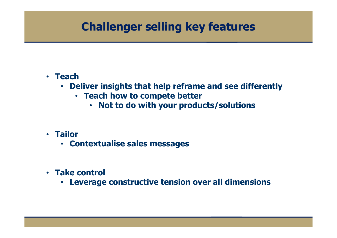### Challenger selling key features

#### • Teach

- Deliver insights that help reframe and see differently
	- Teach how to compete better
		- Not to do with your products/solutions •
- Tailor
	- Contextualise sales messages
- Take control
	- Leverage constructive tension over all dimensions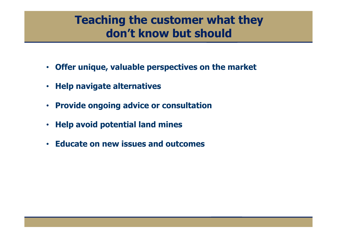#### Teaching the customer what they don't know but should

- Offer unique, valuable perspectives on the market
- $\bullet$ Help navigate alternatives
- •Provide ongoing advice or consultation
- $\bullet$ Help avoid potential land mines
- Educate on new issues and outcomes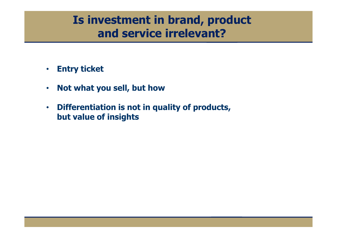### Is investment in brand, product and service irrelevant?

- •Entry ticket
- •Not what you sell, but how
- • Differentiation is not in quality of products, but value of insights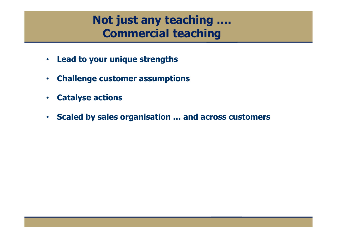### Not just any teaching …. Commercial teaching

- •Lead to your unique strengths
- •Challenge customer assumptions
- •Catalyse actions
- •Scaled by sales organisation … and across customers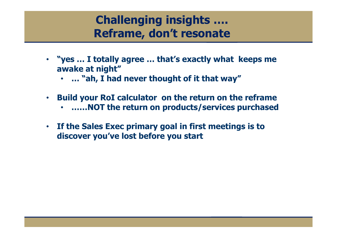### Challenging insights …. Reframe, don't resonate

- "yes … I totally agree … that's exactly what keeps me awake at night"
	- … "ah, I had never thought of it that way"
- $\bullet$  Build your RoI calculator on the return on the reframe
	- ……NOT the return on products/services purchased
- If the Sales Exec primary goal in first meetings is to discover you've lost before you start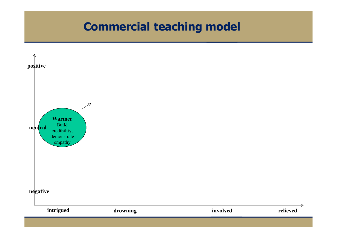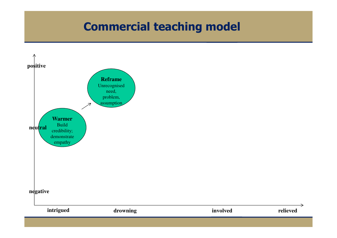$\rightarrow$ 

relieved

involved

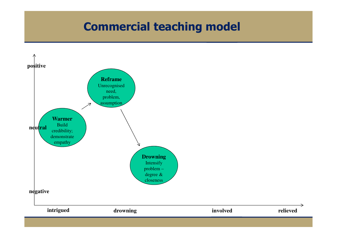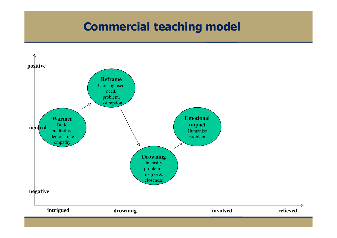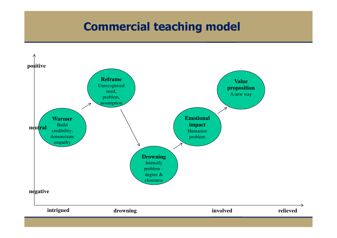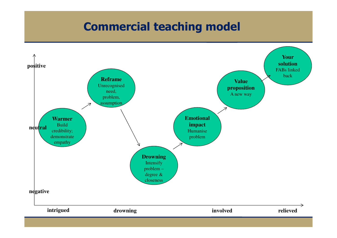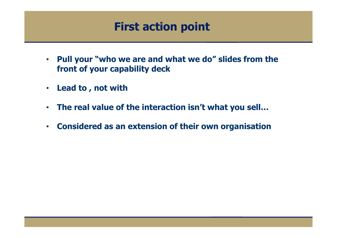### First action point

- • Pull your "who we are and what we do" slides from the front of your capability deck
- •Lead to , not with
- •The real value of the interaction isn't what you sell…
- Considered as an extension of their own organisation